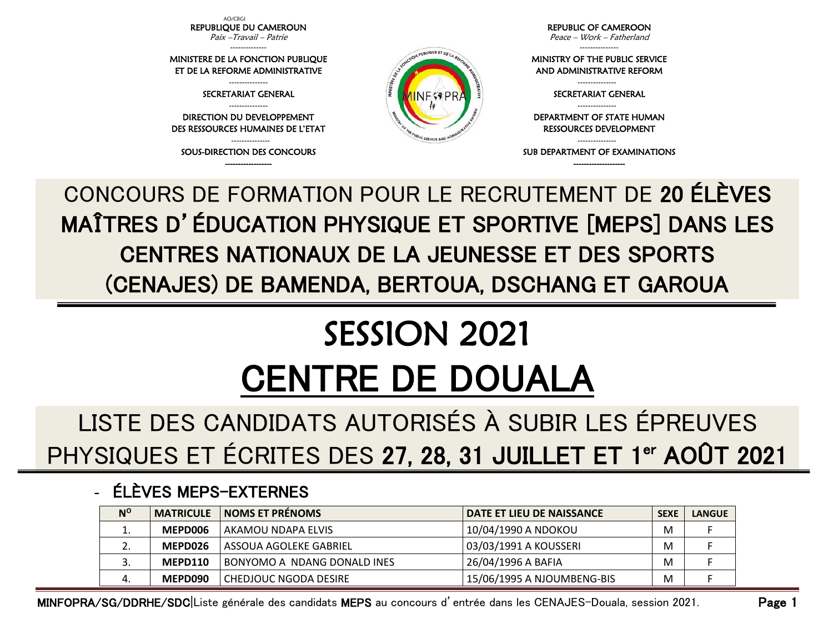AO/CBGI REPUBLIQUE DU CAMEROUN Paix –Travail – Patrie

-------------- MINISTERE DE LA FONCTION PUBLIQUE ET DE LA REFORME ADMINISTRATIVE

> --------------- SECRETARIAT GENERAL

--------------- DIRECTION DU DEVELOPPEMENT DES RESSOURCES HUMAINES DE L'ETAT

--------------- SOUS-DIRECTION DES CONCOURS ------------------



REPUBLIC OF CAMEROON

Peace – Work – Fatherland ---------------

MINISTRY OF THE PUBLIC SERVICE AND ADMINISTRATIVE REFORM

> --------------- SECRETARIAT GENERAL ---------------

DEPARTMENT OF STATE HUMAN RESSOURCES DEVELOPMENT

--------------- SUB DEPARTMENT OF EXAMINATIONS --------------------

CONCOURS DE FORMATION POUR LE RECRUTEMENT DE 20 ÉLÈVES MAÎTRES D'ÉDUCATION PHYSIQUE ET SPORTIVE [MEPS] DANS LES CENTRES NATIONAUX DE LA JEUNESSE ET DES SPORTS (CENAJES) DE BAMENDA, BERTOUA, DSCHANG ET GAROUA

## SESSION 2021 CENTRE DE DOUALA

LISTE DES CANDIDATS AUTORISÉS À SUBIR LES ÉPREUVES PHYSIQUES ET ÉCRITES DES 27, 28, 31 JUILLET ET 1<sup>er</sup> AOÛT 2021

## - ÉLÈVES MEPS-EXTERNES

| $N^{\circ}$ | <b>MATRICULE</b> | <b>NOMS ET PRÉNOMS</b>             | I DATE ET LIEU DE NAISSANCE I | <b>SEXE</b> | <b>LANGUE</b> |
|-------------|------------------|------------------------------------|-------------------------------|-------------|---------------|
| ⊥.          | MEPD006          | AKAMOU NDAPA ELVIS                 | 10/04/1990 A NDOKOU           | M           |               |
| <u>. . </u> | MEPD026          | ASSOUA AGOLEKE GABRIEL             | 03/03/1991 A KOUSSERI         | M           |               |
| J.          | MEPD110          | <b>BONYOMO A NDANG DONALD INES</b> | 26/04/1996 A BAFIA            | M           |               |
| 4.          | MEPD090          | CHEDJOUC NGODA DESIRE              | 15/06/1995 A NJOUMBENG-BIS    | M           |               |